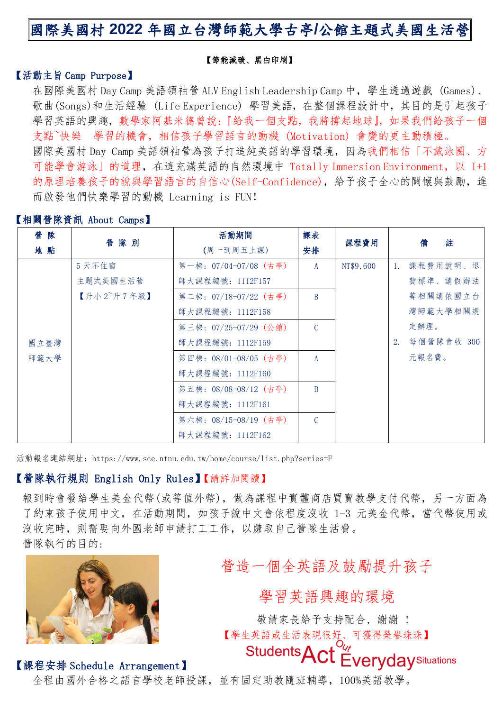# 國際美國村 **2022** 年國立台灣師範大學古亭**/**公館主題式美國生活營

#### 【節能減碳、黑白印刷】

### 【活動主旨 Camp Purpose】

在國際美國村 Day Camp 美語領袖管 ALV English Leadership Camp 中, 學生透過遊戲 (Games)、 歌曲(Songs)和生活經驗 (Life Experience) 學習美語,在整個課程設計中,其目的是引起孩子 學習英語的興趣,數學家阿基米德曾說:『給我一個支點,我將撐起地球』,如果我們給孩子一個 支點~快樂 學習的機會,相信孩子學習語言的動機 (Motivation) 會變的更主動積極。 國際美國村 Day Camp 美語領袖營為孩子打造純美語的學習環境,因為我們相信「不戴泳圈、方 可能學會游泳」的道理,在這充滿英語的自然環境中 Totally Immersion Environment,以 I+1 的原理培養孩子的說與學習語言的自信心(Self-Confidence),給予孩子全心的關懷與鼓勵,進 而啟發他們快樂學習的動機 Learning is FUN!

### 【相關營隊資訊 About Camps】

| 營 隊  | 管隊別                   | 活動期間                  | 課表             | 課程費用      | 註<br>備        |  |
|------|-----------------------|-----------------------|----------------|-----------|---------------|--|
| 地點   |                       | (周一到周五上課)             | 安排             |           |               |  |
|      | 5 天不住宿                | 第一梯: 07/04-07/08 (古亭) | A              | NT\$9,600 | 1. 課程費用說明、退   |  |
|      | 主題式美國生活營              | 師大課程編號: 1112F157      |                |           | 費標準、請假辦法      |  |
|      | 【升小 $2^\circ$ 升 7 年級】 | 第二梯:07/18-07/22(古亭)   | B              |           | 等相關請依國立台      |  |
|      |                       | 師大課程編號: 1112F158      |                |           | 灣師範大學相關規      |  |
|      |                       | 第三梯:07/25-07/29(公館)   | $\mathcal{C}$  |           | 定辦理。          |  |
| 國立臺灣 |                       | 師大課程編號: 1112F159      |                |           | 2. 每個營隊會收 300 |  |
| 師範大學 |                       | 第四梯:08/01-08/05(古亭)   | $\mathsf{A}$   |           | 元報名費。         |  |
|      |                       | 師大課程編號: 1112F160      |                |           |               |  |
|      |                       | 第五梯:08/08-08/12(古亭)   | $\overline{B}$ |           |               |  |
|      |                       | 師大課程編號: 1112F161      |                |           |               |  |
|      |                       | 第六梯: 08/15-08/19 (古亭) | $\mathcal{C}$  |           |               |  |
|      |                       | 師大課程編號: 1112F162      |                |           |               |  |

活動報名連結網址:https://www.sce.ntnu.edu.tw/home/course/list.php?series=F

### 【營隊執行規則 English Only Rules】【請詳加閱讀】

報到時會發給學生美金代幣(或等值外幣),做為課程中實體商店買賣教學支付代幣,另一方面為 了約束孩子使用中文,在活動期間,如孩子說中文會依程度沒收 1-3 元美金代幣,當代幣使用或 沒收完時,則需要向外國老師申請打工工作,以賺取自己營隊生活費。 營隊執行的目的:



# 營造一個全英語及鼓勵提升孩子

學習英語興趣的環境

敬請家長給予支持配合, 謝謝 ! 【學生英語或生活表現很好、可獲得榮譽珠珠】

Students Act Everyday Situations

#### 【課程安排 Schedule Arrangement】

全程由國外合格之語言學校老師授課,並有固定助教隨班輔導,100%美語教學。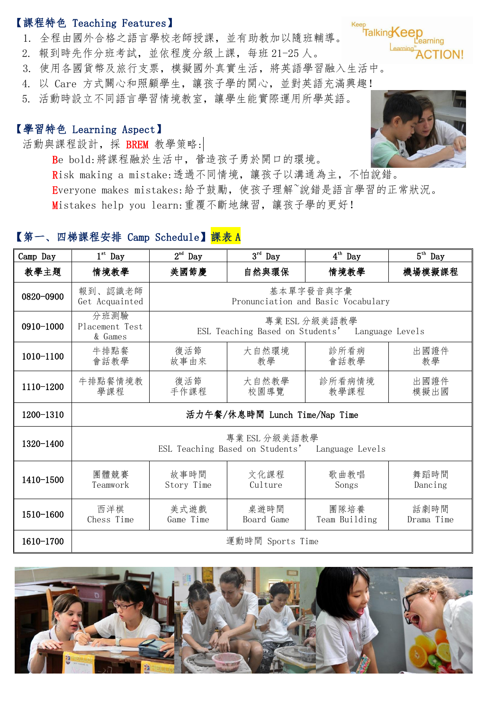## 【課程特色 Teaching Features】

- 1. 全程由國外合格之語言學校老師授課,並有助教加以隨班輔導。
- 2. 報到時先作分班考試,並依程度分級上課,每班 21-25 人。
- 3. 使用各國貨幣及旅行支票,模擬國外真實生活,將英語學習融入生活中。
- 4. 以 Care 方式關心和照顧學生,讓孩子學的開心,並對英語充滿興趣!
- 5. 活動時設立不同語言學習情境教室,讓學生能實際運用所學英語。

## 【學習特色 Learning Aspect】

活動與課程設計,採 BREM 教學策略:

Be bold:將課程融於生活中,營造孩子勇於開口的環境。 Risk making a mistake:透過不同情境,讓孩子以溝通為主,不怕說錯。

Everyone makes mistakes:給予鼓勵,使孩子理解~說錯是語言學習的正常狀況。 Mistakes help you learn:重覆不斷地練習,讓孩子學的更好!

# 【第一、四梯課程安排 Camp Schedule】<mark>課表 A</mark>

| Camp Day  | $1^{\rm st}$ Day                                                 | $2nd$ Day                                                        | $3^{\rm rd}$ Day   | $4^{th}$ Day          | $5^{\text{th}}$ Day |  |
|-----------|------------------------------------------------------------------|------------------------------------------------------------------|--------------------|-----------------------|---------------------|--|
| 教學主題      | 情境教學                                                             | 美國節慶                                                             | 自然與環保              | 情境教學                  | 機場模擬課程              |  |
| 0820-0900 | 報到、認識老師<br>Get Acquainted                                        | 基本單字發音與字彙<br>Pronunciation and Basic Vocabulary                  |                    |                       |                     |  |
| 0910-1000 | 分班測驗<br>Placement Test<br>& Games                                | 專業 ESL 分級美語教學<br>ESL Teaching Based on Students' Language Levels |                    |                       |                     |  |
| 1010-1100 | 牛排點餐<br>會話教學                                                     | 復活節<br>故事由來                                                      | 大自然環境<br>教學        | 診所看病<br>會話教學          | 出國證件<br>教學          |  |
| 1110-1200 | 牛排點餐情境教<br>學課程                                                   | 復活節<br>手作課程                                                      | 大自然教學<br>校園導覽      | 診所看病情境<br>教學課程        | 出國證件<br>模擬出國        |  |
| 1200-1310 | 活力午餐/休息時間 Lunch Time/Nap Time                                    |                                                                  |                    |                       |                     |  |
| 1320-1400 | 專業 ESL 分級美語教學<br>ESL Teaching Based on Students' Language Levels |                                                                  |                    |                       |                     |  |
| 1410-1500 | 團體競賽<br>Teamwork                                                 | 故事時間<br>Story Time                                               | 文化課程<br>Culture    | 歌曲教唱<br>Songs         | 舞蹈時間<br>Dancing     |  |
| 1510-1600 | 西洋棋<br>Chess Time                                                | 美式遊戲<br>Game Time                                                | 桌遊時間<br>Board Game | 團隊培養<br>Team Building | 話劇時間<br>Drama Time  |  |
| 1610-1700 | 運動時間 Sports Time                                                 |                                                                  |                    |                       |                     |  |